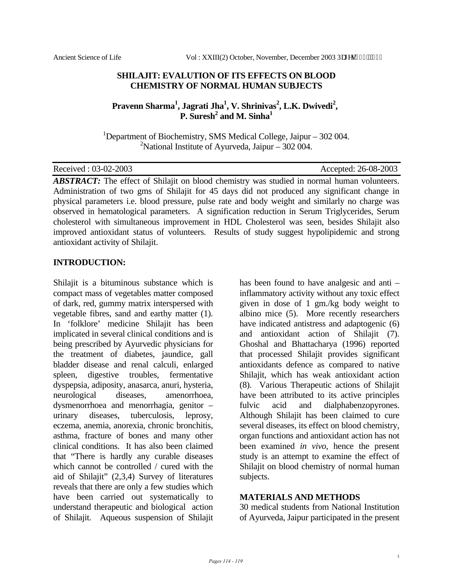### **SHILAJIT: EVALUTION OF ITS EFFECTS ON BLOOD CHEMISTRY OF NORMAL HUMAN SUBJECTS**

## Pravenn Sharma<sup>1</sup>, Jagrati Jha<sup>1</sup>, V. Shrinivas<sup>2</sup>, L.K. Dwivedi<sup>2</sup>, **P.** Suresh<sup>2</sup> and M. Sinha<sup>1</sup>

<sup>1</sup>Department of Biochemistry, SMS Medical College, Jaipur  $-302004$ . <sup>2</sup>National Institute of Ayurveda, Jaipur – 302 004.

| Received: 03-02-2003 |  |
|----------------------|--|
|----------------------|--|

Accepted: 26-08-2003

ABSTRACT: The effect of Shilajit on blood chemistry was studied in normal human volunteers. Administration of two gms of Shilajit for 45 days did not produced any significant change in physical parameters i.e. blood pressure, pulse rate and body weight and similarly no charge was observed in hematological parameters. A signification reduction in Serum Triglycerides, Serum cholesterol with simultaneous improvement in HDL Cholesterol was seen, besides Shilajit also improved antioxidant status of volunteers. Results of study suggest hypolipidemic and strong antioxidant activity of Shilajit.

### **INTRODUCTION:**

Shilajit is a bituminous substance which is compact mass of vegetables matter composed of dark, red, gummy matrix interspersed with vegetable fibres, sand and earthy matter (1). In 'folklore' medicine Shilajit has been implicated in several clinical conditions and is being prescribed by Ayurvedic physicians for the treatment of diabetes, jaundice, gall bladder disease and renal calculi, enlarged spleen, digestive troubles, fermentative dyspepsia, adiposity, anasarca, anuri, hysteria, neurological diseases, amenorrhoea, dysmenorrhoea and menorrhagia, genitor – urinary diseases, tuberculosis, leprosy, eczema, anemia, anorexia, chronic bronchitis, asthma, fracture of bones and many other clinical conditions. It has also been claimed that "There is hardly any curable diseases which cannot be controlled / cured with the aid of Shilajit" (2,3,4) Survey of literatures reveals that there are only a few studies which have been carried out systematically to understand therapeutic and biological action of Shilajit. Aqueous suspension of Shilajit

has been found to have analgesic and anti – inflammatory activity without any toxic effect given in dose of 1 gm./kg body weight to albino mice (5). More recently researchers have indicated antistress and adaptogenic (6) and antioxidant action of Shilajit (7). Ghoshal and Bhattacharya (1996) reported that processed Shilajit provides significant antioxidants defence as compared to native Shilajit, which has weak antioxidant action (8). Various Therapeutic actions of Shilajit have been attributed to its active principles fulvic acid and dialphabenzopyrones. Although Shilajit has been claimed to cure several diseases, its effect on blood chemistry, organ functions and antioxidant action has not been examined *in vivo*, hence the present study is an attempt to examine the effect of Shilajit on blood chemistry of normal human subjects.

#### **MATERIALS AND METHODS**

30 medical students from National Institution of Ayurveda, Jaipur participated in the present

1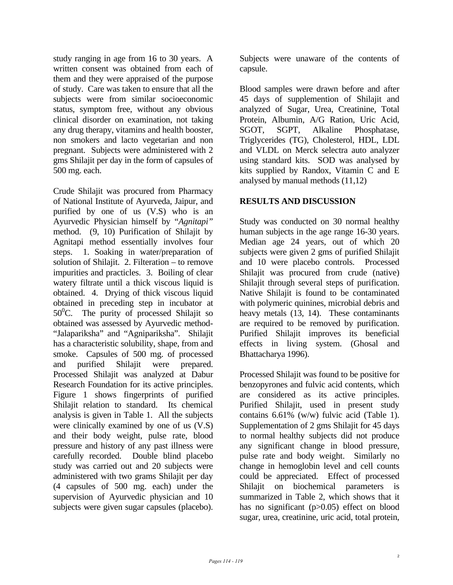study ranging in age from 16 to 30 years. A written consent was obtained from each of them and they were appraised of the purpose of study. Care was taken to ensure that all the subjects were from similar socioeconomic status, symptom free, without any obvious clinical disorder on examination, not taking any drug therapy, vitamins and health booster, non smokers and lacto vegetarian and non pregnant. Subjects were administered with 2 gms Shilajit per day in the form of capsules of 500 mg. each.

Crude Shilajit was procured from Pharmacy of National Institute of Ayurveda, Jaipur, and purified by one of us (V.S) who is an Ayurvedic Physician himself by "*Agnitapi"* method. (9, 10) Purification of Shilajit by Agnitapi method essentially involves four steps. 1. Soaking in water/preparation of solution of Shilajit. 2. Filteration – to remove impurities and practicles. 3. Boiling of clear watery filtrate until a thick viscous liquid is obtained. 4. Drying of thick viscous liquid obtained in preceding step in incubator at 50<sup>0</sup>C. The purity of processed Shilajit so obtained was assessed by Ayurvedic method- "Jalapariksha" and "Agnipariksha". Shilajit has a characteristic solubility, shape, from and smoke. Capsules of 500 mg. of processed and purified Shilajit were prepared. Processed Shilajit was analyzed at Dabur Research Foundation for its active principles. Figure 1 shows fingerprints of purified Shilajit relation to standard. Its chemical analysis is given in Table 1. All the subjects were clinically examined by one of us (V.S) and their body weight, pulse rate, blood pressure and history of any past illness were carefully recorded. Double blind placebo study was carried out and 20 subjects were administered with two grams Shilajit per day (4 capsules of 500 mg. each) under the supervision of Ayurvedic physician and 10 subjects were given sugar capsules (placebo).

Subjects were unaware of the contents of capsule.

Blood samples were drawn before and after 45 days of supplemention of Shilajit and analyzed of Sugar, Urea, Creatinine, Total Protein, Albumin, A/G Ration, Uric Acid, SGOT, SGPT, Alkaline Phosphatase, Triglycerides (TG), Cholesterol, HDL, LDL and VLDL on Merck selectra auto analyzer using standard kits. SOD was analysed by kits supplied by Randox, Vitamin C and E analysed by manual methods (11,12)

### **RESULTS AND DISCUSSION**

Study was conducted on 30 normal healthy human subjects in the age range 16-30 years. Median age 24 years, out of which 20 subjects were given 2 gms of purified Shilajit and 10 were placebo controls. Processed Shilajit was procured from crude (native) Shilajit through several steps of purification. Native Shilajit is found to be contaminated with polymeric quinines, microbial debris and heavy metals  $(13, 14)$ . These contaminants are required to be removed by purification. Purified Shilajit improves its beneficial effects in living system. (Ghosal and Bhattacharya 1996).

Processed Shilajit was found to be positive for benzopyrones and fulvic acid contents, which are considered as its active principles. Purified Shilajit, used in present study contains 6.61% (w/w) fulvic acid (Table 1). Supplementation of 2 gms Shilajit for 45 days to normal healthy subjects did not produce any significant change in blood pressure, pulse rate and body weight. Similarly no change in hemoglobin level and cell counts could be appreciated. Effect of processed Shilajit on biochemical parameters is summarized in Table 2, which shows that it has no significant (p>0.05) effect on blood sugar, urea, creatinine, uric acid, total protein,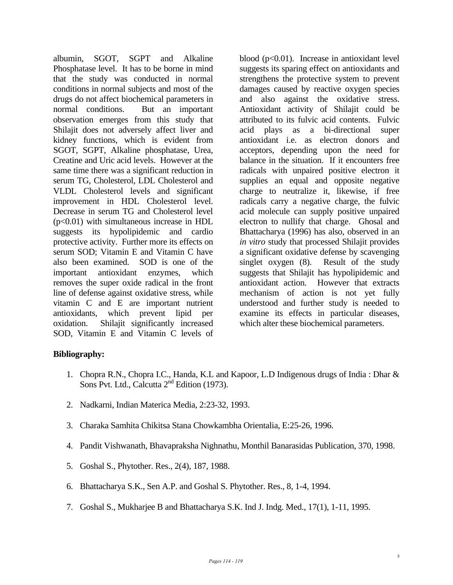albumin, SGOT, SGPT and Alkaline Phosphatase level. It has to be borne in mind that the study was conducted in normal conditions in normal subjects and most of the drugs do not affect biochemical parameters in normal conditions. But an important observation emerges from this study that Shilajit does not adversely affect liver and kidney functions, which is evident from SGOT, SGPT, Alkaline phosphatase, Urea, Creatine and Uric acid levels. However at the same time there was a significant reduction in serum TG, Cholesterol, LDL Cholesterol and VLDL Cholesterol levels and significant improvement in HDL Cholesterol level. Decrease in serum TG and Cholesterol level  $(p<0.01)$  with simultaneous increase in HDL suggests its hypolipidemic and cardio protective activity. Further more its effects on serum SOD; Vitamin E and Vitamin C have also been examined. SOD is one of the important antioxidant enzymes, which removes the super oxide radical in the front line of defense against oxidative stress, while vitamin C and E are important nutrient antioxidants, which prevent lipid per oxidation. Shilajit significantly increased SOD, Vitamin E and Vitamin C levels of blood  $(p<0.01)$ . Increase in antioxidant level suggests its sparing effect on antioxidants and strengthens the protective system to prevent damages caused by reactive oxygen species and also against the oxidative stress. Antioxidant activity of Shilajit could be attributed to its fulvic acid contents. Fulvic acid plays as a bi-directional super antioxidant i.e. as electron donors and acceptors, depending upon the need for balance in the situation. If it encounters free radicals with unpaired positive electron it supplies an equal and opposite negative charge to neutralize it, likewise, if free radicals carry a negative charge, the fulvic acid molecule can supply positive unpaired electron to nullify that charge. Ghosal and Bhattacharya (1996) has also, observed in an *in vitro* study that processed Shilajit provides a significant oxidative defense by scavenging singlet oxygen (8). Result of the study suggests that Shilajit has hypolipidemic and antioxidant action. However that extracts mechanism of action is not yet fully understood and further study is needed to examine its effects in particular diseases, which alter these biochemical parameters.

## **Bibliography:**

- 1. Chopra R.N., Chopra I.C., Handa, K.L and Kapoor, L.D Indigenous drugs of India : Dhar & Sons Pvt. Ltd., Calcutta  $2<sup>nd</sup>$  Edition (1973).
- 2. Nadkarni, Indian Materica Media, 2:23-32, 1993.
- 3. Charaka Samhita Chikitsa Stana Chowkambha Orientalia, E:25-26, 1996.
- 4. Pandit Vishwanath, Bhavapraksha Nighnathu, Monthil Banarasidas Publication, 370, 1998.
- 5. Goshal S., Phytother. Res., 2(4), 187, 1988.
- 6. Bhattacharya S.K., Sen A.P. and Goshal S. Phytother. Res., 8, 1-4, 1994.
- 7. Goshal S., Mukharjee B and Bhattacharya S.K. Ind J. Indg. Med., 17(1), 1-11, 1995.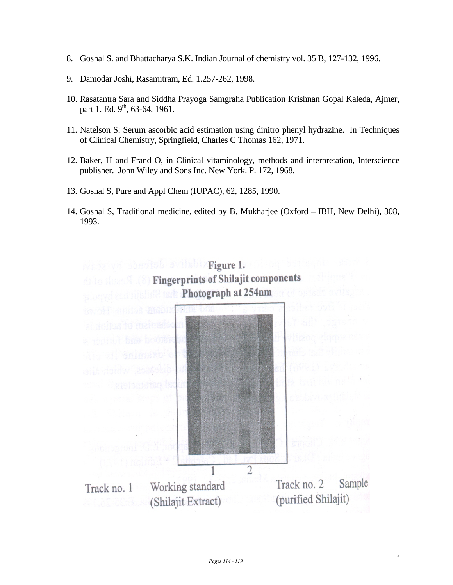- 8. Goshal S. and Bhattacharya S.K. Indian Journal of chemistry vol. 35 B, 127-132, 1996.
- 9. Damodar Joshi, Rasamitram, Ed. 1.257-262, 1998.
- 10. Rasatantra Sara and Siddha Prayoga Samgraha Publication Krishnan Gopal Kaleda, Ajmer, part 1. Ed.  $9^{th}$ , 63-64, 1961.
- 11. Natelson S: Serum ascorbic acid estimation using dinitro phenyl hydrazine. In Techniques of Clinical Chemistry, Springfield, Charles C Thomas 162, 1971.
- 12. Baker, H and Frand O, in Clinical vitaminology, methods and interpretation, Interscience publisher. John Wiley and Sons Inc. New York. P. 172, 1968.
- 13. Goshal S, Pure and Appl Chem (IUPAC), 62, 1285, 1990.
- 14. Goshal S, Traditional medicine, edited by B. Mukharjee (Oxford IBH, New Delhi), 308, 1993.



4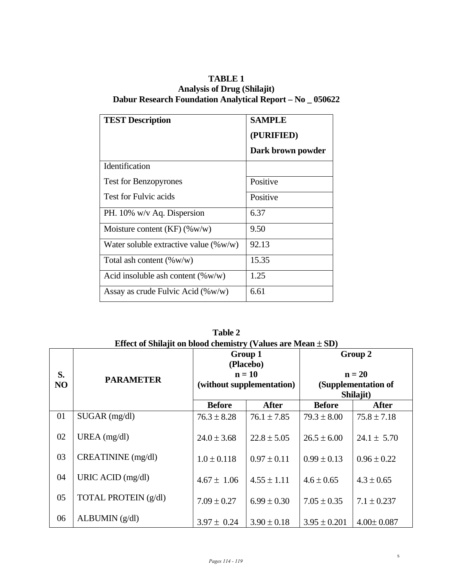# **TABLE 1 Analysis of Drug (Shilajit) Dabur Research Foundation Analytical Report – No \_ 050622**

| <b>TEST Description</b>                  | <b>SAMPLE</b><br>(PURIFIED)<br>Dark brown powder |
|------------------------------------------|--------------------------------------------------|
| Identification                           |                                                  |
| <b>Test for Benzopyrones</b>             | Positive                                         |
| <b>Test for Fulvic acids</b>             | Positive                                         |
| PH. 10% w/v Aq. Dispersion               | 6.37                                             |
| Moisture content $(KF)$ (%w/w)           | 9.50                                             |
| Water soluble extractive value $(\%w/w)$ | 92.13                                            |
| Total ash content $(\%w/w)$              | 15.35                                            |
| Acid insoluble ash content $(\%w/w)$     | 1.25                                             |
| Assay as crude Fulvic Acid $(\%w/w)$     | 6.61                                             |

**Table 2**  Effect of Shilajit on blood chemistry (Values are Mean  $\pm$  SD) **Group 1 (Placebo) n = 10 (without supplementation) Group 2 n = 20** 

| S.<br>NO | <b>PARAMETER</b>     | (Placebo)<br>$n = 10$<br>(without supplementation) |                 | $n = 20$<br>(Supplementation of<br>Shilajit) |                  |
|----------|----------------------|----------------------------------------------------|-----------------|----------------------------------------------|------------------|
|          |                      | <b>Before</b>                                      | <b>After</b>    | <b>Before</b>                                | <b>After</b>     |
| 01       | $SUGAR$ (mg/dl)      | $76.3 \pm 8.28$                                    | $76.1 \pm 7.85$ | $79.3 \pm 8.00$                              | $75.8 \pm 7.18$  |
| 02       | UREA $(mg/dl)$       | $24.0 \pm 3.68$                                    | $22.8 \pm 5.05$ | $26.5 \pm 6.00$                              | $24.1 \pm 5.70$  |
| 03       | CREATININE (mg/dl)   | $1.0 \pm 0.118$                                    | $0.97 \pm 0.11$ | $0.99 \pm 0.13$                              | $0.96 \pm 0.22$  |
| 04       | URIC ACID (mg/dl)    | $4.67 \pm 1.06$                                    | $4.55 \pm 1.11$ | $4.6 \pm 0.65$                               | $4.3 \pm 0.65$   |
| 05       | TOTAL PROTEIN (g/dl) | $7.09 \pm 0.27$                                    | $6.99 \pm 0.30$ | $7.05 \pm 0.35$                              | $7.1 \pm 0.237$  |
| 06       | ALBUMIN (g/dl)       | $3.97 \pm 0.24$                                    | $3.90 \pm 0.18$ | $3.95 \pm 0.201$                             | $4.00 \pm 0.087$ |